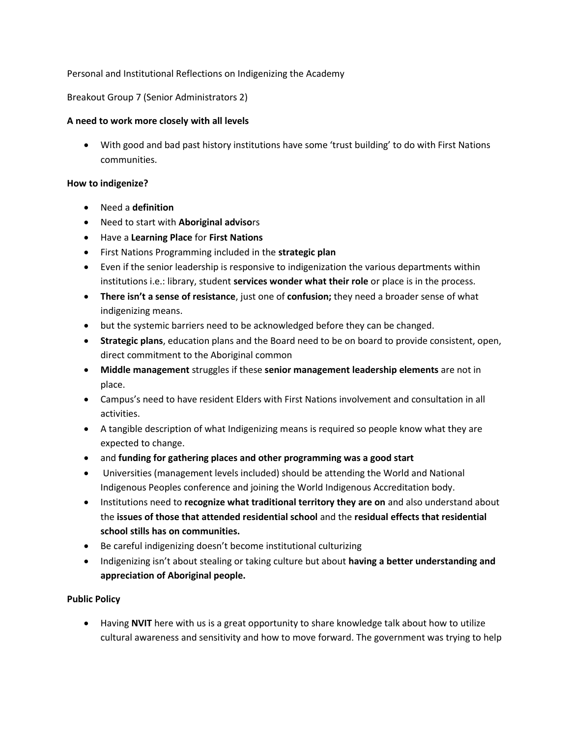### Personal and Institutional Reflections on Indigenizing the Academy

### Breakout Group 7 (Senior Administrators 2)

#### **A need to work more closely with all levels**

 With good and bad past history institutions have some 'trust building' to do with First Nations communities.

#### **How to indigenize?**

- Need a **definition**
- Need to start with **Aboriginal adviso**rs
- Have a **Learning Place** for **First Nations**
- First Nations Programming included in the **strategic plan**
- Even if the senior leadership is responsive to indigenization the various departments within institutions i.e.: library, student **services wonder what their role** or place is in the process.
- **There isn't a sense of resistance**, just one of **confusion;** they need a broader sense of what indigenizing means.
- but the systemic barriers need to be acknowledged before they can be changed.
- **Strategic plans**, education plans and the Board need to be on board to provide consistent, open, direct commitment to the Aboriginal common
- **Middle management** struggles if these **senior management leadership elements** are not in place.
- Campus's need to have resident Elders with First Nations involvement and consultation in all activities.
- A tangible description of what Indigenizing means is required so people know what they are expected to change.
- and **funding for gathering places and other programming was a good start**
- Universities (management levels included) should be attending the World and National Indigenous Peoples conference and joining the World Indigenous Accreditation body.
- Institutions need to **recognize what traditional territory they are on** and also understand about the **issues of those that attended residential school** and the **residual effects that residential school stills has on communities.**
- Be careful indigenizing doesn't become institutional culturizing
- Indigenizing isn't about stealing or taking culture but about **having a better understanding and appreciation of Aboriginal people.**

### **Public Policy**

 Having **NVIT** here with us is a great opportunity to share knowledge talk about how to utilize cultural awareness and sensitivity and how to move forward. The government was trying to help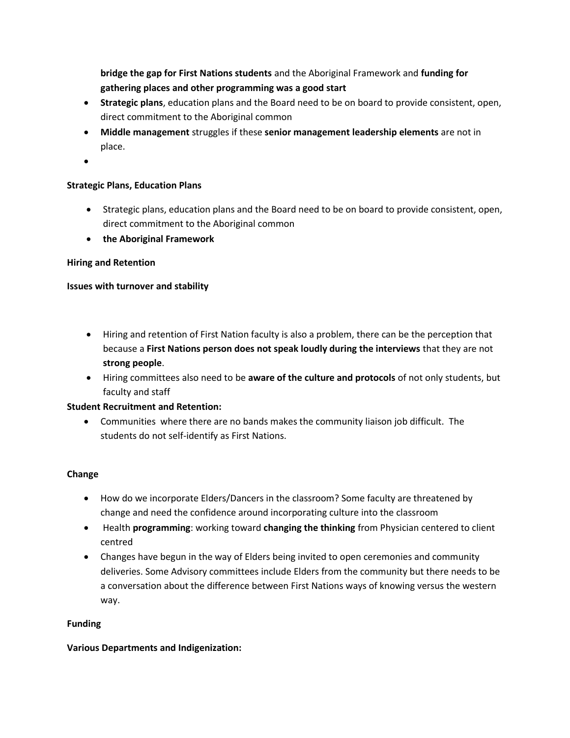**bridge the gap for First Nations students** and the Aboriginal Framework and **funding for gathering places and other programming was a good start**

- **Strategic plans**, education plans and the Board need to be on board to provide consistent, open, direct commitment to the Aboriginal common
- **Middle management** struggles if these **senior management leadership elements** are not in place.
- $\bullet$

### **Strategic Plans, Education Plans**

- Strategic plans, education plans and the Board need to be on board to provide consistent, open, direct commitment to the Aboriginal common
- **the Aboriginal Framework**

#### **Hiring and Retention**

### **Issues with turnover and stability**

- Hiring and retention of First Nation faculty is also a problem, there can be the perception that because a **First Nations person does not speak loudly during the interviews** that they are not **strong people**.
- Hiring committees also need to be **aware of the culture and protocols** of not only students, but faculty and staff

#### **Student Recruitment and Retention:**

 Communities where there are no bands makes the community liaison job difficult. The students do not self-identify as First Nations.

#### **Change**

- How do we incorporate Elders/Dancers in the classroom? Some faculty are threatened by change and need the confidence around incorporating culture into the classroom
- Health **programming**: working toward **changing the thinking** from Physician centered to client centred
- Changes have begun in the way of Elders being invited to open ceremonies and community deliveries. Some Advisory committees include Elders from the community but there needs to be a conversation about the difference between First Nations ways of knowing versus the western way.

#### **Funding**

#### **Various Departments and Indigenization:**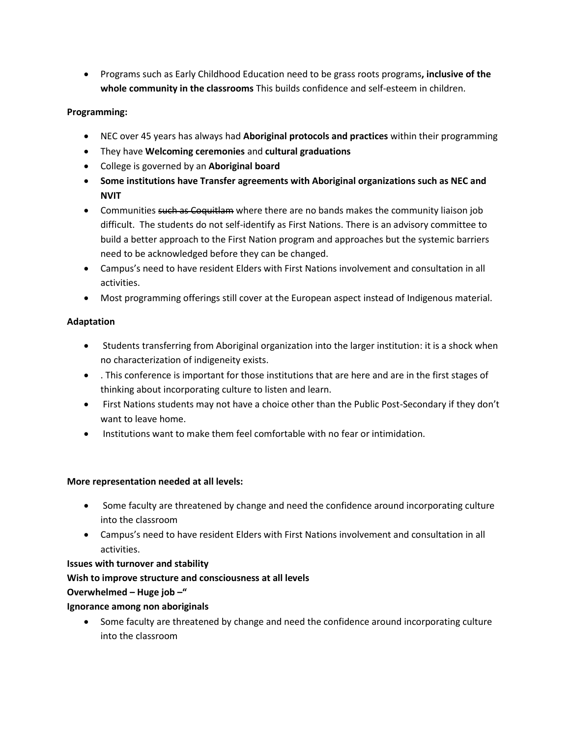Programs such as Early Childhood Education need to be grass roots programs**, inclusive of the whole community in the classrooms** This builds confidence and self-esteem in children.

### **Programming:**

- NEC over 45 years has always had **Aboriginal protocols and practices** within their programming
- They have **Welcoming ceremonies** and **cultural graduations**
- College is governed by an **Aboriginal board**
- **Some institutions have Transfer agreements with Aboriginal organizations such as NEC and NVIT**
- Communities such as Coquitlam where there are no bands makes the community liaison job difficult. The students do not self-identify as First Nations. There is an advisory committee to build a better approach to the First Nation program and approaches but the systemic barriers need to be acknowledged before they can be changed.
- Campus's need to have resident Elders with First Nations involvement and consultation in all activities.
- Most programming offerings still cover at the European aspect instead of Indigenous material.

### **Adaptation**

- Students transferring from Aboriginal organization into the larger institution: it is a shock when no characterization of indigeneity exists.
- . This conference is important for those institutions that are here and are in the first stages of thinking about incorporating culture to listen and learn.
- First Nations students may not have a choice other than the Public Post-Secondary if they don't want to leave home.
- Institutions want to make them feel comfortable with no fear or intimidation.

### **More representation needed at all levels:**

- Some faculty are threatened by change and need the confidence around incorporating culture into the classroom
- Campus's need to have resident Elders with First Nations involvement and consultation in all activities.

# **Issues with turnover and stability**

# **Wish to improve structure and consciousness at all levels**

### **Overwhelmed – Huge job –"**

### **Ignorance among non aboriginals**

 Some faculty are threatened by change and need the confidence around incorporating culture into the classroom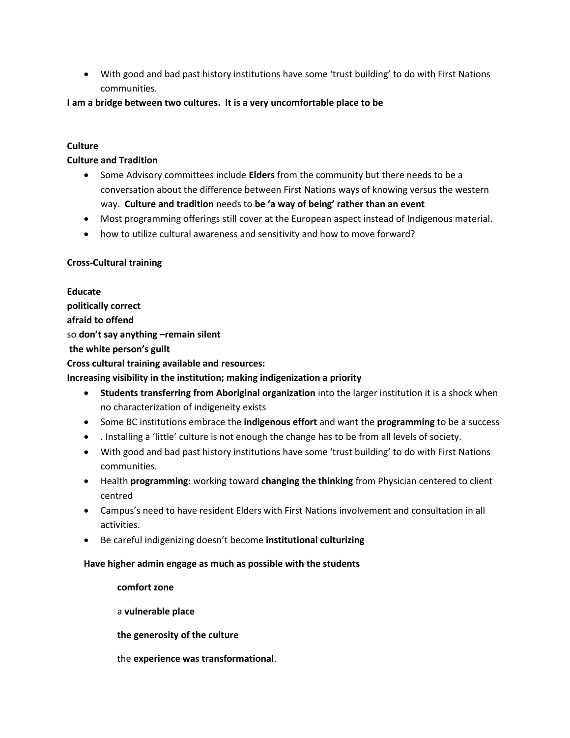With good and bad past history institutions have some 'trust building' to do with First Nations communities.

#### **I am a bridge between two cultures. It is a very uncomfortable place to be**

### **Culture**

### **Culture and Tradition**

- Some Advisory committees include **Elders** from the community but there needs to be a conversation about the difference between First Nations ways of knowing versus the western way. **Culture and tradition** needs to **be 'a way of being' rather than an event**
- Most programming offerings still cover at the European aspect instead of Indigenous material.
- how to utilize cultural awareness and sensitivity and how to move forward?

### **Cross-Cultural training**

**Educate politically correct afraid to offend** so **don't say anything –remain silent the white person's guilt Cross cultural training available and resources: Increasing visibility in the institution; making indigenization a priority**

- **Students transferring from Aboriginal organization** into the larger institution it is a shock when no characterization of indigeneity exists
- Some BC institutions embrace the **indigenous effort** and want the **programming** to be a success
- . Installing a 'little' culture is not enough the change has to be from all levels of society.
- With good and bad past history institutions have some 'trust building' to do with First Nations communities.
- Health **programming**: working toward **changing the thinking** from Physician centered to client centred
- Campus's need to have resident Elders with First Nations involvement and consultation in all activities.
- Be careful indigenizing doesn't become **institutional culturizing**

#### **Have higher admin engage as much as possible with the students**

**comfort zone** a **vulnerable place the generosity of the culture** the **experience was transformational**.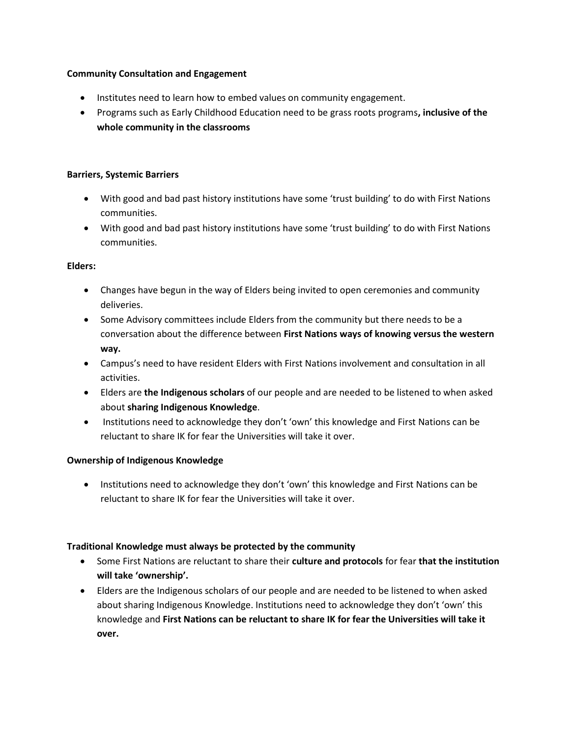### **Community Consultation and Engagement**

- Institutes need to learn how to embed values on community engagement.
- Programs such as Early Childhood Education need to be grass roots programs**, inclusive of the whole community in the classrooms**

### **Barriers, Systemic Barriers**

- With good and bad past history institutions have some 'trust building' to do with First Nations communities.
- With good and bad past history institutions have some 'trust building' to do with First Nations communities.

### **Elders:**

- Changes have begun in the way of Elders being invited to open ceremonies and community deliveries.
- Some Advisory committees include Elders from the community but there needs to be a conversation about the difference between **First Nations ways of knowing versus the western way.**
- Campus's need to have resident Elders with First Nations involvement and consultation in all activities.
- Elders are **the Indigenous scholars** of our people and are needed to be listened to when asked about **sharing Indigenous Knowledge**.
- Institutions need to acknowledge they don't 'own' this knowledge and First Nations can be reluctant to share IK for fear the Universities will take it over.

### **Ownership of Indigenous Knowledge**

• Institutions need to acknowledge they don't 'own' this knowledge and First Nations can be reluctant to share IK for fear the Universities will take it over.

### **Traditional Knowledge must always be protected by the community**

- Some First Nations are reluctant to share their **culture and protocols** for fear **that the institution will take 'ownership'.**
- Elders are the Indigenous scholars of our people and are needed to be listened to when asked about sharing Indigenous Knowledge. Institutions need to acknowledge they don't 'own' this knowledge and **First Nations can be reluctant to share IK for fear the Universities will take it over.**